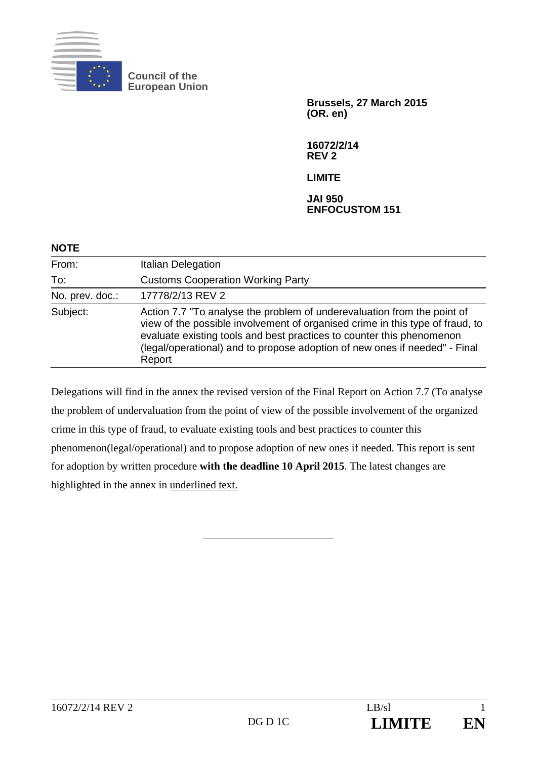

**Council of the European Union** 

> **Brussels, 27 March 2015 (OR. en)**

**16072/2/14 REV 2** 

**LIMITE** 

**JAI 950 ENFOCUSTOM 151** 

| <b>NOTE</b>     |                                                                                                                                                                                                                                                                                                                           |
|-----------------|---------------------------------------------------------------------------------------------------------------------------------------------------------------------------------------------------------------------------------------------------------------------------------------------------------------------------|
| From:           | <b>Italian Delegation</b>                                                                                                                                                                                                                                                                                                 |
| To:             | <b>Customs Cooperation Working Party</b>                                                                                                                                                                                                                                                                                  |
| No. prev. doc.: | 17778/2/13 REV 2                                                                                                                                                                                                                                                                                                          |
| Subject:        | Action 7.7 "To analyse the problem of underevaluation from the point of<br>view of the possible involvement of organised crime in this type of fraud, to<br>evaluate existing tools and best practices to counter this phenomenon<br>(legal/operational) and to propose adoption of new ones if needed" - Final<br>Report |

Delegations will find in the annex the revised version of the Final Report on Action 7.7 (To analyse the problem of undervaluation from the point of view of the possible involvement of the organized crime in this type of fraud, to evaluate existing tools and best practices to counter this phenomenon(legal/operational) and to propose adoption of new ones if needed. This report is sent for adoption by written procedure **with the deadline 10 April 2015**. The latest changes are highlighted in the annex in underlined text.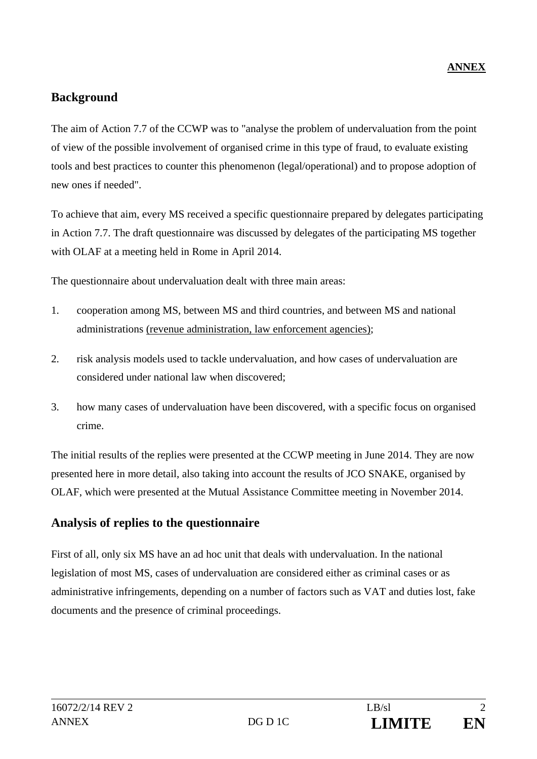## **Background**

The aim of Action 7.7 of the CCWP was to "analyse the problem of undervaluation from the point of view of the possible involvement of organised crime in this type of fraud, to evaluate existing tools and best practices to counter this phenomenon (legal/operational) and to propose adoption of new ones if needed".

To achieve that aim, every MS received a specific questionnaire prepared by delegates participating in Action 7.7. The draft questionnaire was discussed by delegates of the participating MS together with OLAF at a meeting held in Rome in April 2014.

The questionnaire about undervaluation dealt with three main areas:

- 1. cooperation among MS, between MS and third countries, and between MS and national administrations (revenue administration, law enforcement agencies);
- 2. risk analysis models used to tackle undervaluation, and how cases of undervaluation are considered under national law when discovered;
- 3. how many cases of undervaluation have been discovered, with a specific focus on organised crime.

The initial results of the replies were presented at the CCWP meeting in June 2014. They are now presented here in more detail, also taking into account the results of JCO SNAKE, organised by OLAF, which were presented at the Mutual Assistance Committee meeting in November 2014.

## **Analysis of replies to the questionnaire**

First of all, only six MS have an ad hoc unit that deals with undervaluation. In the national legislation of most MS, cases of undervaluation are considered either as criminal cases or as administrative infringements, depending on a number of factors such as VAT and duties lost, fake documents and the presence of criminal proceedings.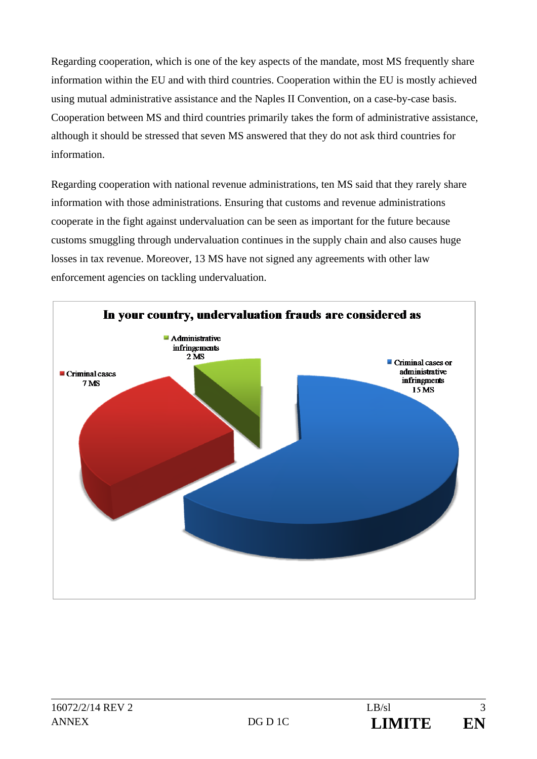Regarding cooperation, which is one of the key aspects of the mandate, most MS frequently share information within the EU and with third countries. Cooperation within the EU is mostly achieved using mutual administrative assistance and the Naples II Convention, on a case-by-case basis. Cooperation between MS and third countries primarily takes the form of administrative assistance, although it should be stressed that seven MS answered that they do not ask third countries for information.

Regarding cooperation with national revenue administrations, ten MS said that they rarely share information with those administrations. Ensuring that customs and revenue administrations cooperate in the fight against undervaluation can be seen as important for the future because customs smuggling through undervaluation continues in the supply chain and also causes huge losses in tax revenue. Moreover, 13 MS have not signed any agreements with other law enforcement agencies on tackling undervaluation.

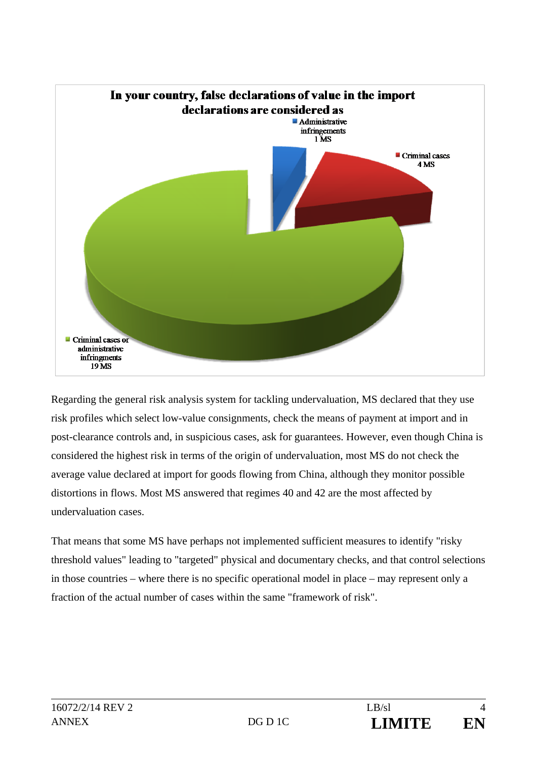

Regarding the general risk analysis system for tackling undervaluation, MS declared that they use risk profiles which select low-value consignments, check the means of payment at import and in post-clearance controls and, in suspicious cases, ask for guarantees. However, even though China is considered the highest risk in terms of the origin of undervaluation, most MS do not check the average value declared at import for goods flowing from China, although they monitor possible distortions in flows. Most MS answered that regimes 40 and 42 are the most affected by undervaluation cases.

That means that some MS have perhaps not implemented sufficient measures to identify "risky threshold values" leading to "targeted" physical and documentary checks, and that control selections in those countries – where there is no specific operational model in place – may represent only a fraction of the actual number of cases within the same "framework of risk".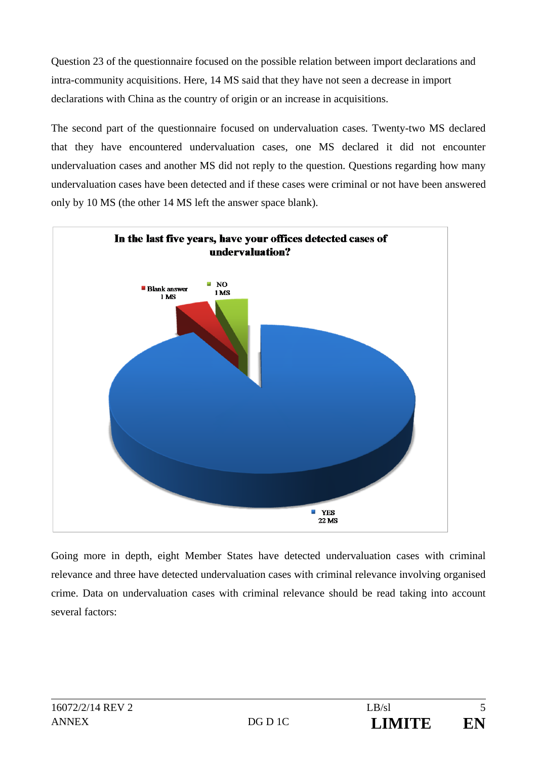Question 23 of the questionnaire focused on the possible relation between import declarations and intra-community acquisitions. Here, 14 MS said that they have not seen a decrease in import declarations with China as the country of origin or an increase in acquisitions.

The second part of the questionnaire focused on undervaluation cases. Twenty-two MS declared that they have encountered undervaluation cases, one MS declared it did not encounter undervaluation cases and another MS did not reply to the question. Questions regarding how many undervaluation cases have been detected and if these cases were criminal or not have been answered only by 10 MS (the other 14 MS left the answer space blank).



Going more in depth, eight Member States have detected undervaluation cases with criminal relevance and three have detected undervaluation cases with criminal relevance involving organised crime. Data on undervaluation cases with criminal relevance should be read taking into account several factors: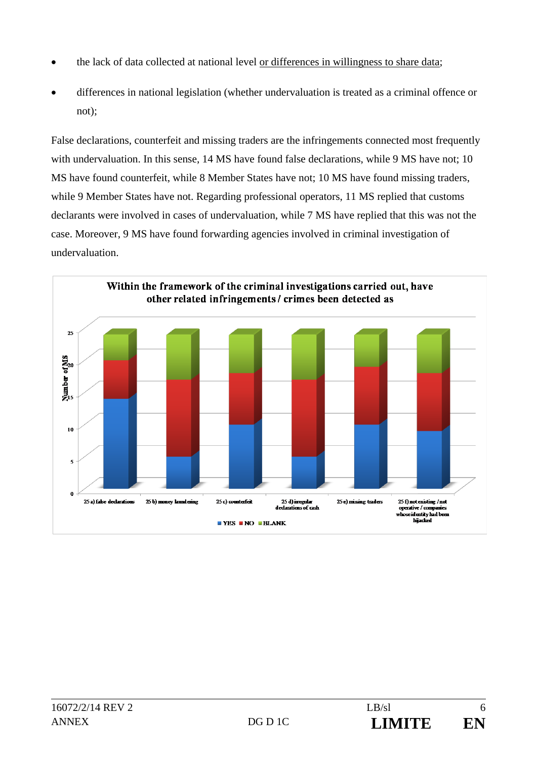- the lack of data collected at national level or differences in willingness to share data;
- differences in national legislation (whether undervaluation is treated as a criminal offence or not);

False declarations, counterfeit and missing traders are the infringements connected most frequently with undervaluation. In this sense, 14 MS have found false declarations, while 9 MS have not; 10 MS have found counterfeit, while 8 Member States have not; 10 MS have found missing traders, while 9 Member States have not. Regarding professional operators, 11 MS replied that customs declarants were involved in cases of undervaluation, while 7 MS have replied that this was not the case. Moreover, 9 MS have found forwarding agencies involved in criminal investigation of undervaluation.

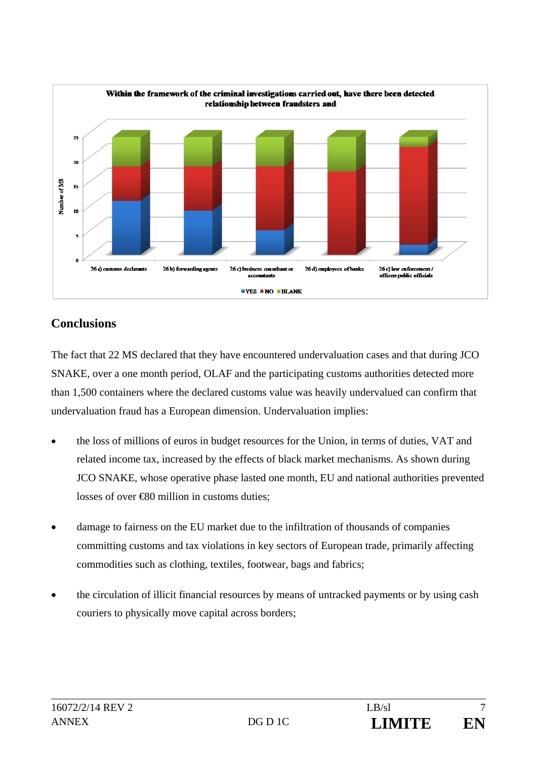

## **Conclusions**

The fact that 22 MS declared that they have encountered undervaluation cases and that during JCO SNAKE, over a one month period, OLAF and the participating customs authorities detected more than 1,500 containers where the declared customs value was heavily undervalued can confirm that undervaluation fraud has a European dimension. Undervaluation implies:

- the loss of millions of euros in budget resources for the Union, in terms of duties, VAT and related income tax, increased by the effects of black market mechanisms. As shown during JCO SNAKE, whose operative phase lasted one month, EU and national authorities prevented losses of over €80 million in customs duties;
- damage to fairness on the EU market due to the infiltration of thousands of companies committing customs and tax violations in key sectors of European trade, primarily affecting commodities such as clothing, textiles, footwear, bags and fabrics;
- the circulation of illicit financial resources by means of untracked payments or by using cash couriers to physically move capital across borders;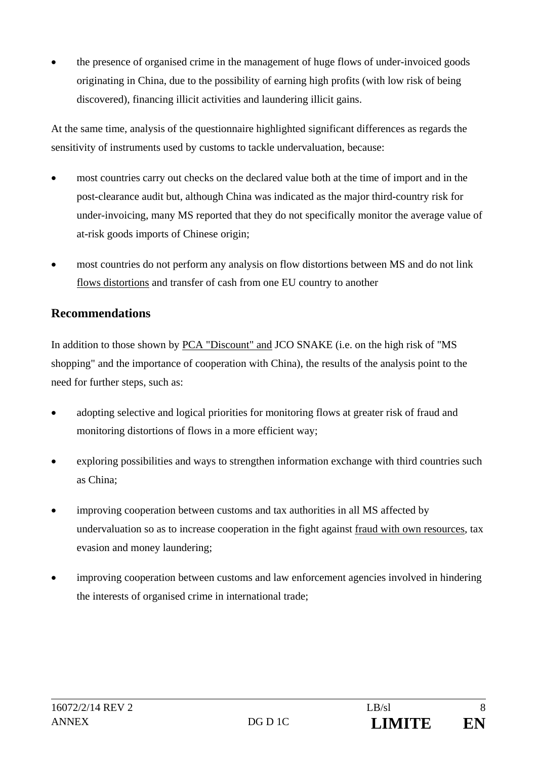the presence of organised crime in the management of huge flows of under-invoiced goods originating in China, due to the possibility of earning high profits (with low risk of being discovered), financing illicit activities and laundering illicit gains.

At the same time, analysis of the questionnaire highlighted significant differences as regards the sensitivity of instruments used by customs to tackle undervaluation, because:

- most countries carry out checks on the declared value both at the time of import and in the post-clearance audit but, although China was indicated as the major third-country risk for under-invoicing, many MS reported that they do not specifically monitor the average value of at-risk goods imports of Chinese origin;
- most countries do not perform any analysis on flow distortions between MS and do not link flows distortions and transfer of cash from one EU country to another

## **Recommendations**

In addition to those shown by PCA "Discount" and JCO SNAKE (i.e. on the high risk of "MS shopping" and the importance of cooperation with China), the results of the analysis point to the need for further steps, such as:

- adopting selective and logical priorities for monitoring flows at greater risk of fraud and monitoring distortions of flows in a more efficient way;
- exploring possibilities and ways to strengthen information exchange with third countries such as China;
- improving cooperation between customs and tax authorities in all MS affected by undervaluation so as to increase cooperation in the fight against fraud with own resources*,* tax evasion and money laundering;
- improving cooperation between customs and law enforcement agencies involved in hindering the interests of organised crime in international trade;